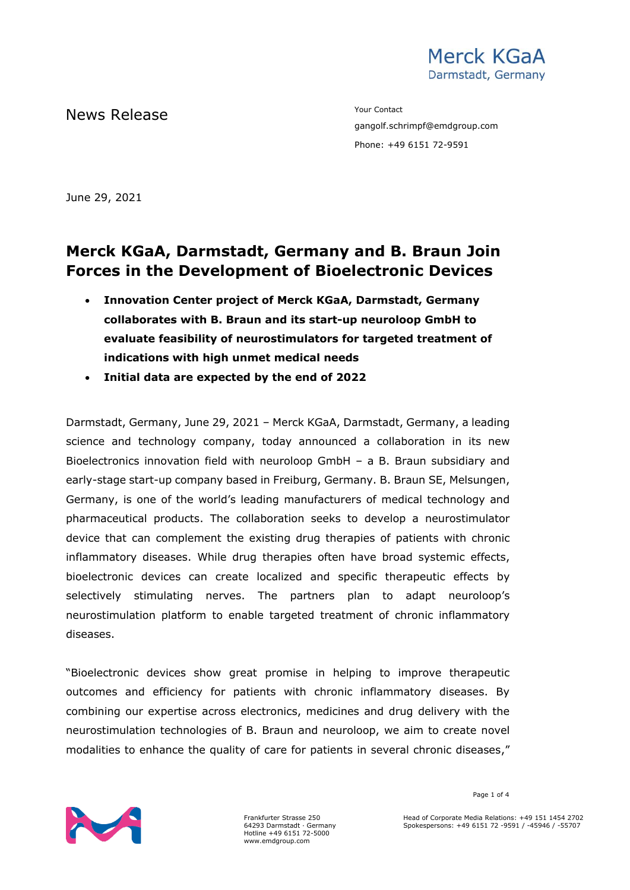

News Release The Contact Terms of the Mean of the Mean of the Vour Contact

gangolf.schrimpf@emdgroup.com Phone: +49 6151 72-9591

June 29, 2021

# **Merck KGaA, Darmstadt, Germany and B. Braun Join Forces in the Development of Bioelectronic Devices**

- **Innovation Center project of Merck KGaA, Darmstadt, Germany collaborates with B. Braun and its start-up neuroloop GmbH to evaluate feasibility of neurostimulators for targeted treatment of indications with high unmet medical needs**
- **Initial data are expected by the end of 2022**

Darmstadt, Germany, June 29, 2021 – Merck KGaA, Darmstadt, Germany, a leading science and technology company, today announced a collaboration in its new Bioelectronics innovation field with neuroloop GmbH – a B. Braun subsidiary and early-stage start-up company based in Freiburg, Germany. B. Braun SE, Melsungen, Germany, is one of the world's leading manufacturers of medical technology and pharmaceutical products. The collaboration seeks to develop a neurostimulator device that can complement the existing drug therapies of patients with chronic inflammatory diseases. While drug therapies often have broad systemic effects, bioelectronic devices can create localized and specific therapeutic effects by selectively stimulating nerves. The partners plan to adapt neuroloop's neurostimulation platform to enable targeted treatment of chronic inflammatory diseases.

"Bioelectronic devices show great promise in helping to improve therapeutic outcomes and efficiency for patients with chronic inflammatory diseases. By combining our expertise across electronics, medicines and drug delivery with the neurostimulation technologies of B. Braun and neuroloop, we aim to create novel modalities to enhance the quality of care for patients in several chronic diseases,"



Frankfurter Strasse 250 64293 Darmstadt · Germany Hotline +49 6151 72-5000 www.emdgroup.com

Page 1 of 4

Head of Corporate Media Relations: +49 151 1454 2702 Spokespersons: +49 6151 72 -9591 / -45946 / -55707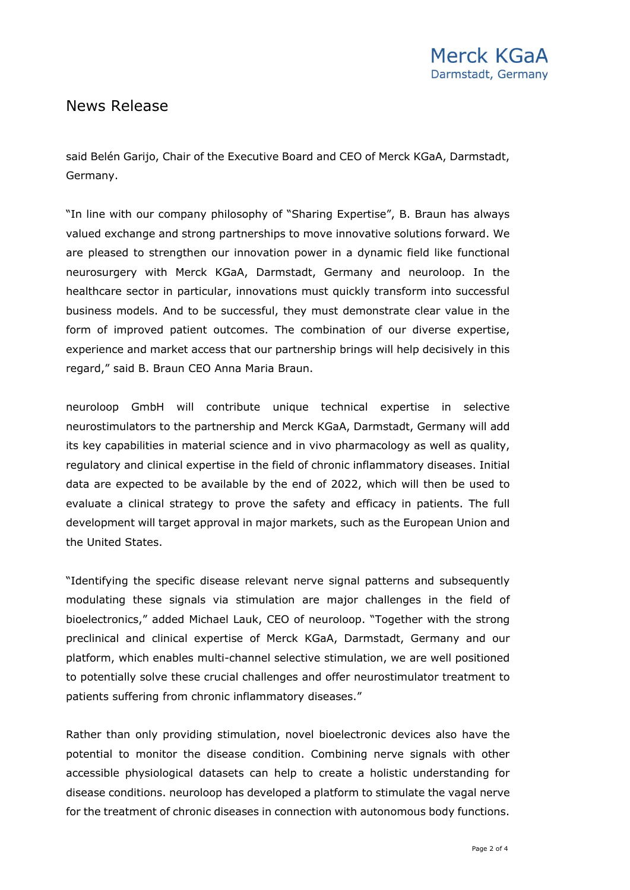# News Release

said Belén Garijo, Chair of the Executive Board and CEO of Merck KGaA, Darmstadt, Germany.

"In line with our company philosophy of "Sharing Expertise", B. Braun has always valued exchange and strong partnerships to move innovative solutions forward. We are pleased to strengthen our innovation power in a dynamic field like functional neurosurgery with Merck KGaA, Darmstadt, Germany and neuroloop. In the healthcare sector in particular, innovations must quickly transform into successful business models. And to be successful, they must demonstrate clear value in the form of improved patient outcomes. The combination of our diverse expertise, experience and market access that our partnership brings will help decisively in this regard," said B. Braun CEO Anna Maria Braun.

neuroloop GmbH will contribute unique technical expertise in selective neurostimulators to the partnership and Merck KGaA, Darmstadt, Germany will add its key capabilities in material science and in vivo pharmacology as well as quality, regulatory and clinical expertise in the field of chronic inflammatory diseases. Initial data are expected to be available by the end of 2022, which will then be used to evaluate a clinical strategy to prove the safety and efficacy in patients. The full development will target approval in major markets, such as the European Union and the United States.

"Identifying the specific disease relevant nerve signal patterns and subsequently modulating these signals via stimulation are major challenges in the field of bioelectronics," added Michael Lauk, CEO of neuroloop. "Together with the strong preclinical and clinical expertise of Merck KGaA, Darmstadt, Germany and our platform, which enables multi-channel selective stimulation, we are well positioned to potentially solve these crucial challenges and offer neurostimulator treatment to patients suffering from chronic inflammatory diseases."

Rather than only providing stimulation, novel bioelectronic devices also have the potential to monitor the disease condition. Combining nerve signals with other accessible physiological datasets can help to create a holistic understanding for disease conditions. neuroloop has developed a platform to stimulate the vagal nerve for the treatment of chronic diseases in connection with autonomous body functions.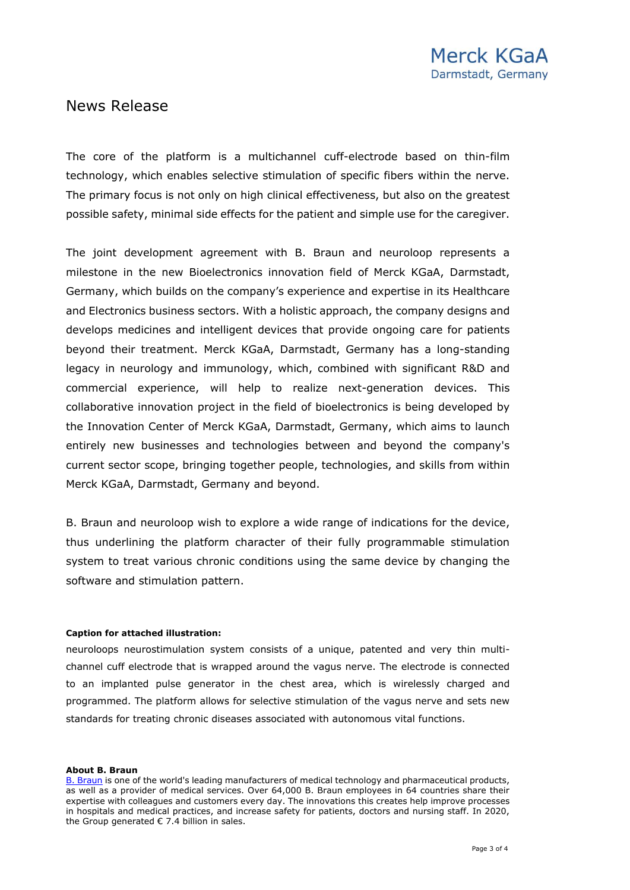# News Release

The core of the platform is a multichannel cuff-electrode based on thin-film technology, which enables selective stimulation of specific fibers within the nerve. The primary focus is not only on high clinical effectiveness, but also on the greatest possible safety, minimal side effects for the patient and simple use for the caregiver.

The joint development agreement with B. Braun and neuroloop represents a milestone in the new Bioelectronics innovation field of Merck KGaA, Darmstadt, Germany, which builds on the company's experience and expertise in its Healthcare and Electronics business sectors. With a holistic approach, the company designs and develops medicines and intelligent devices that provide ongoing care for patients beyond their treatment. Merck KGaA, Darmstadt, Germany has a long-standing legacy in neurology and immunology, which, combined with significant R&D and commercial experience, will help to realize next-generation devices. This collaborative innovation project in the field of bioelectronics is being developed by the Innovation Center of Merck KGaA, Darmstadt, Germany, which aims to launch entirely new businesses and technologies between and beyond the company's current sector scope, bringing together people, technologies, and skills from within Merck KGaA, Darmstadt, Germany and beyond.

B. Braun and neuroloop wish to explore a wide range of indications for the device, thus underlining the platform character of their fully programmable stimulation system to treat various chronic conditions using the same device by changing the software and stimulation pattern.

### **Caption for attached illustration:**

neuroloops neurostimulation system consists of a unique, patented and very thin multichannel cuff electrode that is wrapped around the vagus nerve. The electrode is connected to an implanted pulse generator in the chest area, which is wirelessly charged and programmed. The platform allows for selective stimulation of the vagus nerve and sets new standards for treating chronic diseases associated with autonomous vital functions.

#### **About B. Braun**

[B. Braun](http://www.bbraun.com/) is one of the world's leading manufacturers of medical technology and pharmaceutical products, as well as a provider of medical services. Over 64,000 B. Braun employees in 64 countries share their expertise with colleagues and customers every day. The innovations this creates help improve processes in hospitals and medical practices, and increase safety for patients, doctors and nursing staff. In 2020, the Group generated  $\epsilon$  7.4 billion in sales.